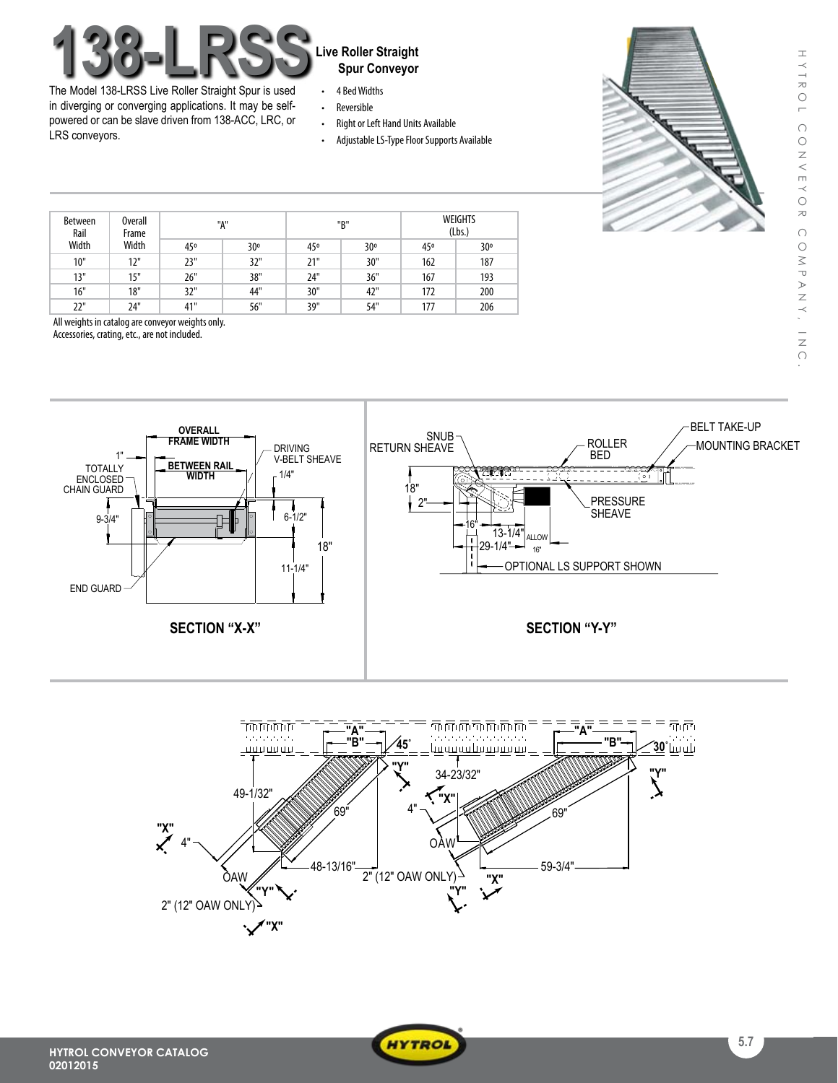

The Model 138-LRSS Live Roller Straight Spur is used in diverging or converging applications. It may be selfpowered or can be slave driven from 138-ACC, LRC, or LRS conveyors.

# **Spur Conveyor**

- • 4 BedWidths
- • Reversible
- Right or Left Hand Units Available
- Adjustable LS-Type Floor Supports Available



| Between<br>Rail | <b>Overall</b><br>Frame | "A"             |     | "B"             |     | <b>WEIGHTS</b><br>(Lbs.) |     |
|-----------------|-------------------------|-----------------|-----|-----------------|-----|--------------------------|-----|
| Width           | Width                   | 45 <sup>o</sup> | 30° | 45 <sup>o</sup> | 30° | 45°                      | 30° |
| 10"             | 12"                     | 23"             | 32" | 21"             | 30" | 162                      | 187 |
| 13"             | 15"                     | 26"             | 38" | 24"             | 36" | 167                      | 193 |
| 16"             | 18"                     | 32"             | 44" | 30"             | 42" | 172                      | 200 |
| 22"             | 24"                     | 41"             | 56" | 39"             | 54" | 177                      | 206 |

All weights in catalog are conveyor weights only.

Accessories, crating, etc., are not included.